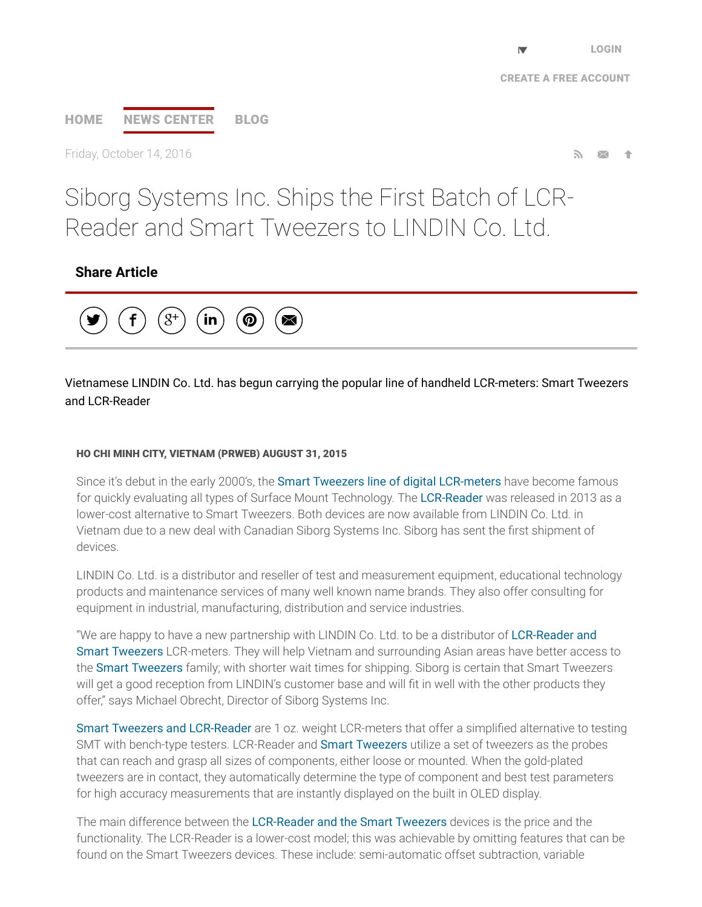# [HOME](http://www.prweb.com/) NEWS [CENTER](http://www.prweb.com/recentnews/) [BLOG](http://www.cision.com/us/blog/)

Friday, October 14, 2016

# Siborg Systems Inc. Ships the First Batch of LCR-Reader and Smart Tweezers to LINDIN Co. Ltd.

# Share Article



Vietnamese LINDIN Co. Ltd. has begun carrying the popular line of handheld LCR-meters: Smart Tweezers and LCR-Reader

#### HO CHI MINH CITY, VIETNAM (PRWEB) AUGUST 31, 2015

Since it's debut in the early 2000's, the **Smart Tweezers line of digital [LCR-meters](http://www.prweb.net/Redirect.aspx?id=aHR0cDovL3d3dy5zbWFydHR3ZWV6ZXJzLnVz)** have become famous for quickly evaluating all types of Surface Mount Technology. The [LCR-Reader](http://www.prweb.net/Redirect.aspx?id=aHR0cDovL3d3dy5MQ1ItUmVhZGVyLmNh) was released in 2013 as a lower-cost alternative to Smart Tweezers. Both devices are now available from LINDIN Co. Ltd. in Vietnam due to a new deal with Canadian Siborg Systems Inc. Siborg has sent the first shipment of devices.

LINDIN Co. Ltd. is a distributor and reseller of test and measurement equipment, educational technology products and maintenance services of many well known name brands. They also offer consulting for equipment in industrial, manufacturing, distribution and service industries.

"We are happy to have a new partnership with LINDIN Co. Ltd. to be a distributor of LCR-Reader and Smart Tweezers [LCR-meters.](http://www.prweb.net/Redirect.aspx?id=aHR0cDovL3d3dy5zbWFydHR3ZWV6ZXJzLmNvbS5ydS8=) They will help Vietnam and surrounding Asian areas have better access to the Smart [Tweezers](http://www.prweb.net/Redirect.aspx?id=aHR0cDovL3d3dy5zbWFydHR3ZWV6ZXJzLmNh) family; with shorter wait times for shipping. Siborg is certain that Smart Tweezers will get a good reception from LINDIN's customer base and will fit in well with the other products they offer," says Michael Obrecht, Director of Siborg Systems Inc.

Smart Tweezers and [LCR-Reader](http://www.prweb.net/Redirect.aspx?id=aHR0cDovL3d3dy5zaWJvcmcuY29tL3NtYXJ0dHdlZXplcnM=) are 1 oz. weight LCR-meters that offer a simplified alternative to testing SMT with bench-type testers. LCR-Reader and Smart [Tweezers](http://www.prweb.net/Redirect.aspx?id=aHR0cDovL3d3dy5zbWFydHR3ZWV6ZXJzLmlu) utilize a set of tweezers as the probes that can reach and grasp all sizes of components, either loose or mounted. When the gold-plated tweezers are in contact, they automatically determine the type of component and best test parameters for high accuracy measurements that are instantly displayed on the built in OLED display.

The main difference between the [LCR-Reader](http://www.prweb.net/Redirect.aspx?id=aHR0cDovL3d3dy5zbWFydHR3ZWV6ZXJzLmNu) and the Smart Tweezers devices is the price and the functionality. The LCR-Reader is a lower-cost model; this was achievable by omitting features that can be found on the Smart Tweezers devices. These include: semi-automatic offset subtraction, variable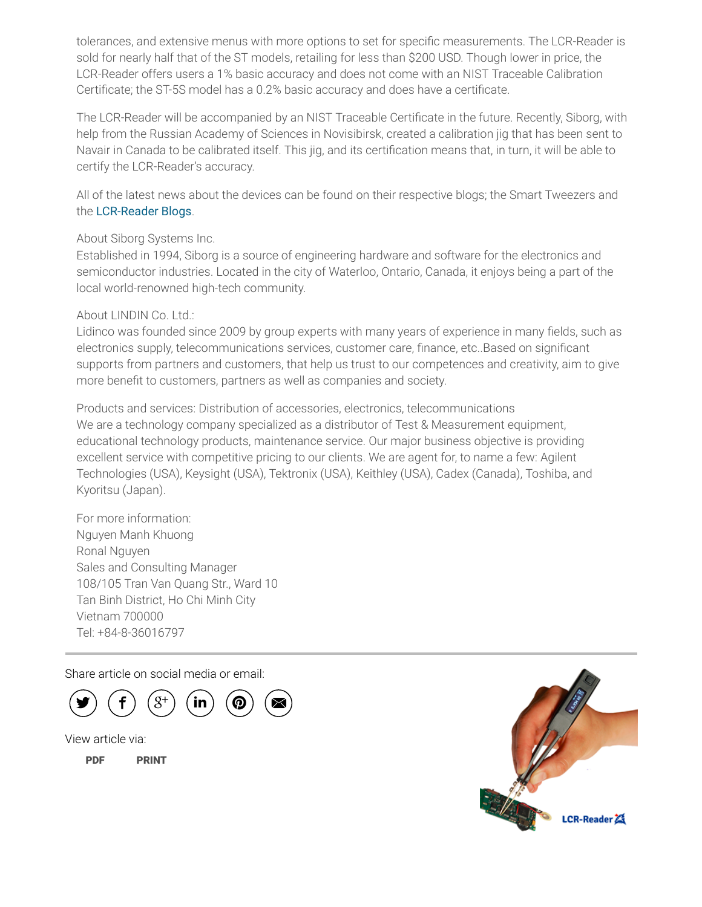tolerances, and extensive menus with more options to set for specific measurements. The LCR-Reader is sold for nearly half that of the ST models, retailing for less than \$200 USD. Though lower in price, the LCR-Reader offers users a 1% basic accuracy and does not come with an NIST Traceable Calibration Certificate; the ST-5S model has a 0.2% basic accuracy and does have a certificate.

The LCR-Reader will be accompanied by an NIST Traceable Certificate in the future. Recently, Siborg, with help from the Russian Academy of Sciences in Novisibirsk, created a calibration jig that has been sent to Navair in Canada to be calibrated itself. This jig, and its certification means that, in turn, it will be able to certify the LCR-Reader's accuracy.

All of the latest news about the devices can be found on their respective blogs; the Smart Tweezers and the [LCR-Reader](http://www.prweb.net/Redirect.aspx?id=aHR0cDovL3d3dy5MQ1ItUmVhZGVyLmNvbS9ibG9n) Blogs.

### About Siborg Systems Inc.

Established in 1994, Siborg is a source of engineering hardware and software for the electronics and semiconductor industries. Located in the city of Waterloo, Ontario, Canada, it enjoys being a part of the local world-renowned high-tech community.

### About LINDIN Co. Ltd.:

Lidinco was founded since 2009 by group experts with many years of experience in many fields, such as electronics supply, telecommunications services, customer care, finance, etc..Based on significant supports from partners and customers, that help us trust to our competences and creativity, aim to give more benefit to customers, partners as well as companies and society.

Products and services: Distribution of accessories, electronics, telecommunications We are a technology company specialized as a distributor of Test & Measurement equipment, educational technology products, maintenance service. Our major business objective is providing excellent service with competitive pricing to our clients. We are agent for, to name a few: Agilent Technologies (USA), Keysight (USA), Tektronix (USA), Keithley (USA), Cadex (Canada), Toshiba, and Kyoritsu (Japan).

For more information: Nguyen Manh Khuong Ronal Nguyen Sales and Consulting Manager 108/105 Tran Van Quang Str., Ward 10 Tan Binh District, Ho Chi Minh City Vietnam 700000 Tel: +84-8-36016797

Share article on social media or email:



View article via:

[PDF](http://www.prweb.com/pdfdownload/12932684.pdf) [PRINT](http://www.prweb.com/printer/12932684.htm)

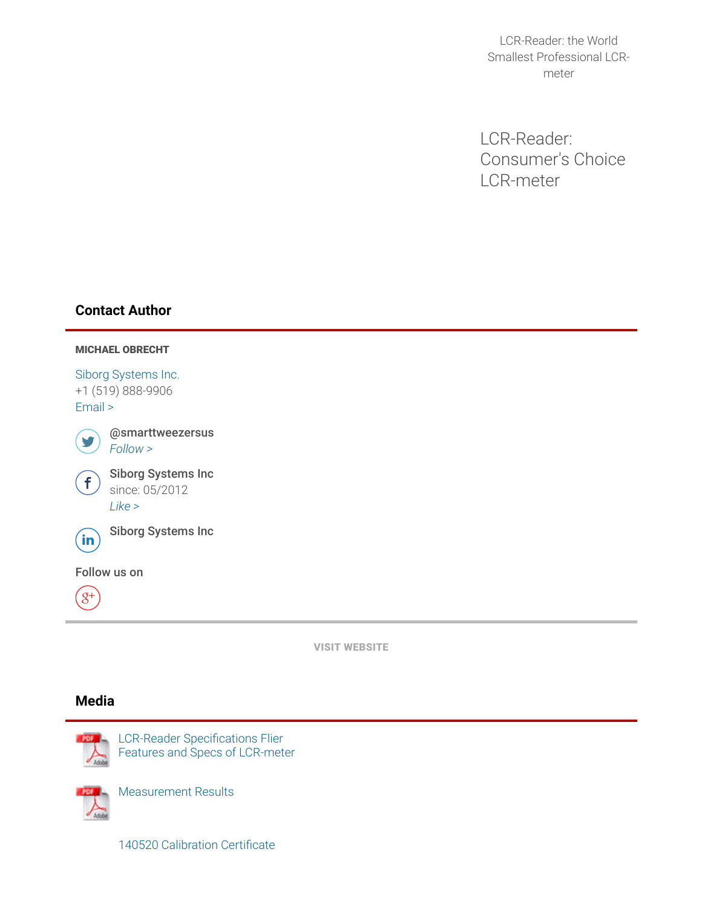LCR-Reader: the World Smallest Professional LCRmeter

LCR-Reader: Consumer's Choice LCR-meter

# Contact Author



VISIT [WEBSITE](http://www.prweb.net/Redirect.aspx?id=aHR0cDovL3d3dy5sY3ItcmVhZGVyLmNvbQ==)

### Media



LCR-Reader Specifications Flier Features and Specs of LCR-meter



[Measurement](http://ww1.prweb.com/prfiles/2015/07/31/12932684/140520.pdf) Results

140520 [Calibration](http://ww1.prweb.com/prfiles/2015/07/31/12932684/140520Crtf.pdf) Certificate